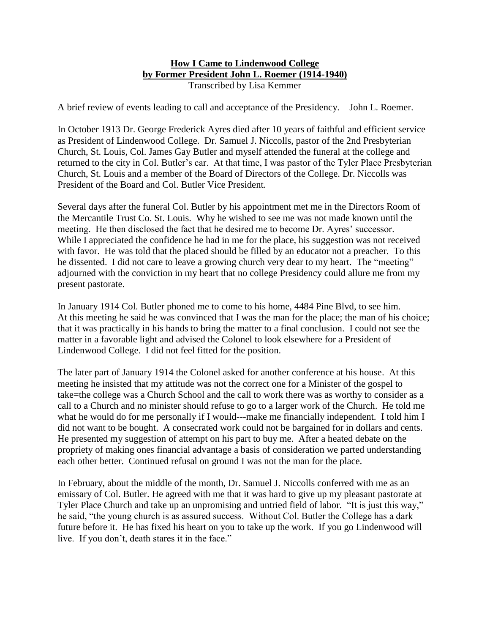### **How I Came to Lindenwood College by Former President John L. Roemer (1914-1940)** Transcribed by Lisa Kemmer

A brief review of events leading to call and acceptance of the Presidency.—John L. Roemer.

In October 1913 Dr. George Frederick Ayres died after 10 years of faithful and efficient service as President of Lindenwood College. Dr. Samuel J. Niccolls, pastor of the 2nd Presbyterian Church, St. Louis, Col. James Gay Butler and myself attended the funeral at the college and returned to the city in Col. Butler's car. At that time, I was pastor of the Tyler Place Presbyterian Church, St. Louis and a member of the Board of Directors of the College. Dr. Niccolls was President of the Board and Col. Butler Vice President.

Several days after the funeral Col. Butler by his appointment met me in the Directors Room of the Mercantile Trust Co. St. Louis. Why he wished to see me was not made known until the meeting. He then disclosed the fact that he desired me to become Dr. Ayres' successor. While I appreciated the confidence he had in me for the place, his suggestion was not received with favor. He was told that the placed should be filled by an educator not a preacher. To this he dissented. I did not care to leave a growing church very dear to my heart. The "meeting" adjourned with the conviction in my heart that no college Presidency could allure me from my present pastorate.

In January 1914 Col. Butler phoned me to come to his home, 4484 Pine Blvd, to see him. At this meeting he said he was convinced that I was the man for the place; the man of his choice; that it was practically in his hands to bring the matter to a final conclusion. I could not see the matter in a favorable light and advised the Colonel to look elsewhere for a President of Lindenwood College. I did not feel fitted for the position.

The later part of January 1914 the Colonel asked for another conference at his house. At this meeting he insisted that my attitude was not the correct one for a Minister of the gospel to take=the college was a Church School and the call to work there was as worthy to consider as a call to a Church and no minister should refuse to go to a larger work of the Church. He told me what he would do for me personally if I would---make me financially independent. I told him I did not want to be bought. A consecrated work could not be bargained for in dollars and cents. He presented my suggestion of attempt on his part to buy me. After a heated debate on the propriety of making ones financial advantage a basis of consideration we parted understanding each other better. Continued refusal on ground I was not the man for the place.

In February, about the middle of the month, Dr. Samuel J. Niccolls conferred with me as an emissary of Col. Butler. He agreed with me that it was hard to give up my pleasant pastorate at Tyler Place Church and take up an unpromising and untried field of labor. "It is just this way," he said, "the young church is as assured success. Without Col. Butler the College has a dark future before it. He has fixed his heart on you to take up the work. If you go Lindenwood will live. If you don't, death stares it in the face."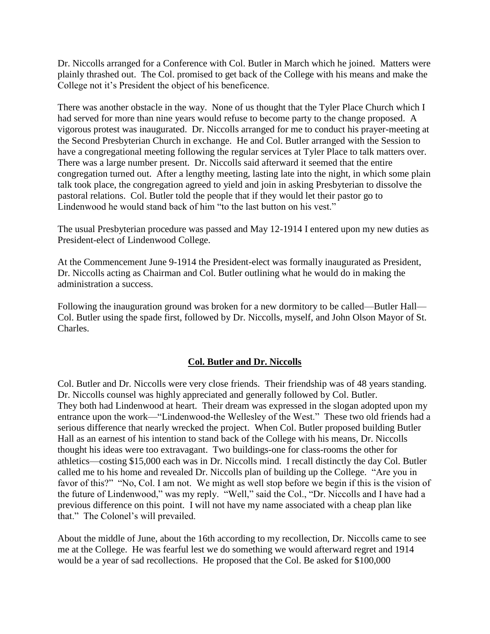Dr. Niccolls arranged for a Conference with Col. Butler in March which he joined. Matters were plainly thrashed out. The Col. promised to get back of the College with his means and make the College not it's President the object of his beneficence.

There was another obstacle in the way. None of us thought that the Tyler Place Church which I had served for more than nine years would refuse to become party to the change proposed. A vigorous protest was inaugurated. Dr. Niccolls arranged for me to conduct his prayer-meeting at the Second Presbyterian Church in exchange. He and Col. Butler arranged with the Session to have a congregational meeting following the regular services at Tyler Place to talk matters over. There was a large number present. Dr. Niccolls said afterward it seemed that the entire congregation turned out. After a lengthy meeting, lasting late into the night, in which some plain talk took place, the congregation agreed to yield and join in asking Presbyterian to dissolve the pastoral relations. Col. Butler told the people that if they would let their pastor go to Lindenwood he would stand back of him "to the last button on his vest."

The usual Presbyterian procedure was passed and May 12-1914 I entered upon my new duties as President-elect of Lindenwood College.

At the Commencement June 9-1914 the President-elect was formally inaugurated as President, Dr. Niccolls acting as Chairman and Col. Butler outlining what he would do in making the administration a success.

Following the inauguration ground was broken for a new dormitory to be called—Butler Hall— Col. Butler using the spade first, followed by Dr. Niccolls, myself, and John Olson Mayor of St. Charles.

# **Col. Butler and Dr. Niccolls**

Col. Butler and Dr. Niccolls were very close friends. Their friendship was of 48 years standing. Dr. Niccolls counsel was highly appreciated and generally followed by Col. Butler. They both had Lindenwood at heart. Their dream was expressed in the slogan adopted upon my entrance upon the work—"Lindenwood-the Wellesley of the West." These two old friends had a serious difference that nearly wrecked the project. When Col. Butler proposed building Butler Hall as an earnest of his intention to stand back of the College with his means, Dr. Niccolls thought his ideas were too extravagant. Two buildings-one for class-rooms the other for athletics—costing \$15,000 each was in Dr. Niccolls mind. I recall distinctly the day Col. Butler called me to his home and revealed Dr. Niccolls plan of building up the College. "Are you in favor of this?" "No, Col. I am not. We might as well stop before we begin if this is the vision of the future of Lindenwood," was my reply. "Well," said the Col., "Dr. Niccolls and I have had a previous difference on this point. I will not have my name associated with a cheap plan like that." The Colonel's will prevailed.

About the middle of June, about the 16th according to my recollection, Dr. Niccolls came to see me at the College. He was fearful lest we do something we would afterward regret and 1914 would be a year of sad recollections. He proposed that the Col. Be asked for \$100,000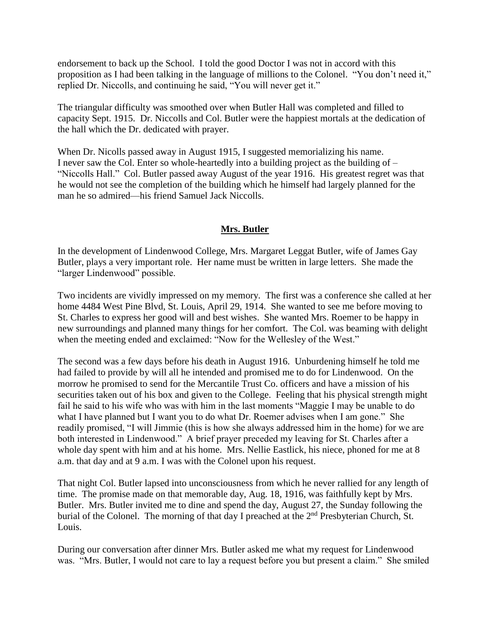endorsement to back up the School. I told the good Doctor I was not in accord with this proposition as I had been talking in the language of millions to the Colonel. "You don't need it," replied Dr. Niccolls, and continuing he said, "You will never get it."

The triangular difficulty was smoothed over when Butler Hall was completed and filled to capacity Sept. 1915. Dr. Niccolls and Col. Butler were the happiest mortals at the dedication of the hall which the Dr. dedicated with prayer.

When Dr. Nicolls passed away in August 1915, I suggested memorializing his name. I never saw the Col. Enter so whole-heartedly into a building project as the building of – "Niccolls Hall." Col. Butler passed away August of the year 1916. His greatest regret was that he would not see the completion of the building which he himself had largely planned for the man he so admired—his friend Samuel Jack Niccolls.

### **Mrs. Butler**

In the development of Lindenwood College, Mrs. Margaret Leggat Butler, wife of James Gay Butler, plays a very important role. Her name must be written in large letters. She made the "larger Lindenwood" possible.

Two incidents are vividly impressed on my memory. The first was a conference she called at her home 4484 West Pine Blvd, St. Louis, April 29, 1914. She wanted to see me before moving to St. Charles to express her good will and best wishes. She wanted Mrs. Roemer to be happy in new surroundings and planned many things for her comfort. The Col. was beaming with delight when the meeting ended and exclaimed: "Now for the Wellesley of the West."

The second was a few days before his death in August 1916. Unburdening himself he told me had failed to provide by will all he intended and promised me to do for Lindenwood. On the morrow he promised to send for the Mercantile Trust Co. officers and have a mission of his securities taken out of his box and given to the College. Feeling that his physical strength might fail he said to his wife who was with him in the last moments "Maggie I may be unable to do what I have planned but I want you to do what Dr. Roemer advises when I am gone." She readily promised, "I will Jimmie (this is how she always addressed him in the home) for we are both interested in Lindenwood." A brief prayer preceded my leaving for St. Charles after a whole day spent with him and at his home. Mrs. Nellie Eastlick, his niece, phoned for me at 8 a.m. that day and at 9 a.m. I was with the Colonel upon his request.

That night Col. Butler lapsed into unconsciousness from which he never rallied for any length of time. The promise made on that memorable day, Aug. 18, 1916, was faithfully kept by Mrs. Butler. Mrs. Butler invited me to dine and spend the day, August 27, the Sunday following the burial of the Colonel. The morning of that day I preached at the 2<sup>nd</sup> Presbyterian Church, St. Louis.

During our conversation after dinner Mrs. Butler asked me what my request for Lindenwood was. "Mrs. Butler, I would not care to lay a request before you but present a claim." She smiled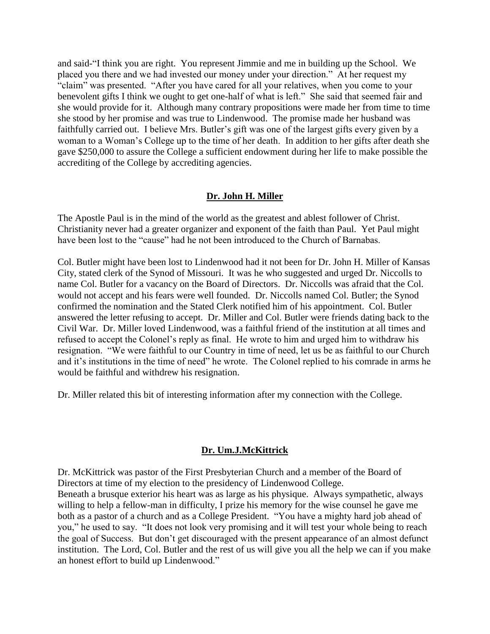and said-"I think you are right. You represent Jimmie and me in building up the School. We placed you there and we had invested our money under your direction." At her request my "claim" was presented. "After you have cared for all your relatives, when you come to your benevolent gifts I think we ought to get one-half of what is left." She said that seemed fair and she would provide for it. Although many contrary propositions were made her from time to time she stood by her promise and was true to Lindenwood. The promise made her husband was faithfully carried out. I believe Mrs. Butler's gift was one of the largest gifts every given by a woman to a Woman's College up to the time of her death. In addition to her gifts after death she gave \$250,000 to assure the College a sufficient endowment during her life to make possible the accrediting of the College by accrediting agencies.

### **Dr. John H. Miller**

The Apostle Paul is in the mind of the world as the greatest and ablest follower of Christ. Christianity never had a greater organizer and exponent of the faith than Paul. Yet Paul might have been lost to the "cause" had he not been introduced to the Church of Barnabas.

Col. Butler might have been lost to Lindenwood had it not been for Dr. John H. Miller of Kansas City, stated clerk of the Synod of Missouri. It was he who suggested and urged Dr. Niccolls to name Col. Butler for a vacancy on the Board of Directors. Dr. Niccolls was afraid that the Col. would not accept and his fears were well founded. Dr. Niccolls named Col. Butler; the Synod confirmed the nomination and the Stated Clerk notified him of his appointment. Col. Butler answered the letter refusing to accept. Dr. Miller and Col. Butler were friends dating back to the Civil War. Dr. Miller loved Lindenwood, was a faithful friend of the institution at all times and refused to accept the Colonel's reply as final. He wrote to him and urged him to withdraw his resignation. "We were faithful to our Country in time of need, let us be as faithful to our Church and it's institutions in the time of need" he wrote. The Colonel replied to his comrade in arms he would be faithful and withdrew his resignation.

Dr. Miller related this bit of interesting information after my connection with the College.

#### **Dr. Um.J.McKittrick**

Dr. McKittrick was pastor of the First Presbyterian Church and a member of the Board of Directors at time of my election to the presidency of Lindenwood College.

Beneath a brusque exterior his heart was as large as his physique. Always sympathetic, always willing to help a fellow-man in difficulty, I prize his memory for the wise counsel he gave me both as a pastor of a church and as a College President. "You have a mighty hard job ahead of you," he used to say. "It does not look very promising and it will test your whole being to reach the goal of Success. But don't get discouraged with the present appearance of an almost defunct institution. The Lord, Col. Butler and the rest of us will give you all the help we can if you make an honest effort to build up Lindenwood."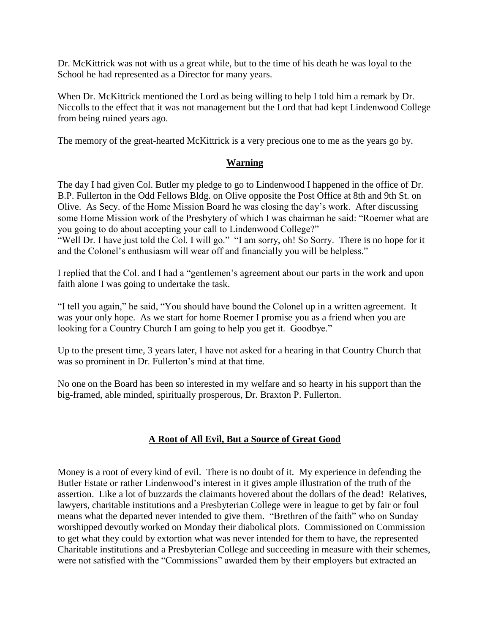Dr. McKittrick was not with us a great while, but to the time of his death he was loyal to the School he had represented as a Director for many years.

When Dr. McKittrick mentioned the Lord as being willing to help I told him a remark by Dr. Niccolls to the effect that it was not management but the Lord that had kept Lindenwood College from being ruined years ago.

The memory of the great-hearted McKittrick is a very precious one to me as the years go by.

### **Warning**

The day I had given Col. Butler my pledge to go to Lindenwood I happened in the office of Dr. B.P. Fullerton in the Odd Fellows Bldg. on Olive opposite the Post Office at 8th and 9th St. on Olive. As Secy. of the Home Mission Board he was closing the day's work. After discussing some Home Mission work of the Presbytery of which I was chairman he said: "Roemer what are you going to do about accepting your call to Lindenwood College?" "Well Dr. I have just told the Col. I will go." "I am sorry, oh! So Sorry. There is no hope for it and the Colonel's enthusiasm will wear off and financially you will be helpless."

I replied that the Col. and I had a "gentlemen's agreement about our parts in the work and upon faith alone I was going to undertake the task.

"I tell you again," he said, "You should have bound the Colonel up in a written agreement. It was your only hope. As we start for home Roemer I promise you as a friend when you are looking for a Country Church I am going to help you get it. Goodbye."

Up to the present time, 3 years later, I have not asked for a hearing in that Country Church that was so prominent in Dr. Fullerton's mind at that time.

No one on the Board has been so interested in my welfare and so hearty in his support than the big-framed, able minded, spiritually prosperous, Dr. Braxton P. Fullerton.

# **A Root of All Evil, But a Source of Great Good**

Money is a root of every kind of evil. There is no doubt of it. My experience in defending the Butler Estate or rather Lindenwood's interest in it gives ample illustration of the truth of the assertion. Like a lot of buzzards the claimants hovered about the dollars of the dead! Relatives, lawyers, charitable institutions and a Presbyterian College were in league to get by fair or foul means what the departed never intended to give them. "Brethren of the faith" who on Sunday worshipped devoutly worked on Monday their diabolical plots. Commissioned on Commission to get what they could by extortion what was never intended for them to have, the represented Charitable institutions and a Presbyterian College and succeeding in measure with their schemes, were not satisfied with the "Commissions" awarded them by their employers but extracted an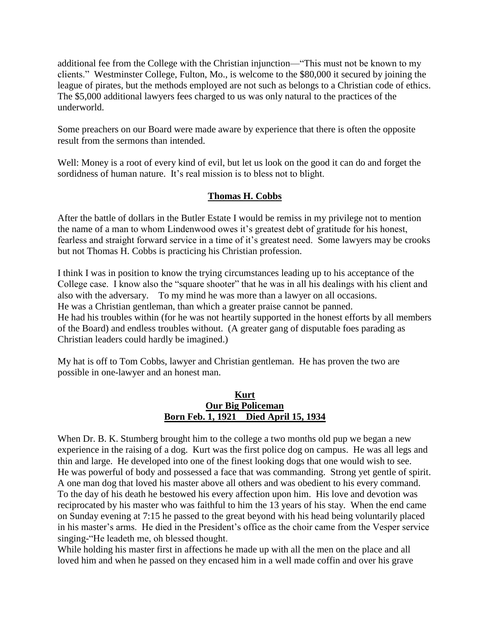additional fee from the College with the Christian injunction—"This must not be known to my clients." Westminster College, Fulton, Mo., is welcome to the \$80,000 it secured by joining the league of pirates, but the methods employed are not such as belongs to a Christian code of ethics. The \$5,000 additional lawyers fees charged to us was only natural to the practices of the underworld.

Some preachers on our Board were made aware by experience that there is often the opposite result from the sermons than intended.

Well: Money is a root of every kind of evil, but let us look on the good it can do and forget the sordidness of human nature. It's real mission is to bless not to blight.

# **Thomas H. Cobbs**

After the battle of dollars in the Butler Estate I would be remiss in my privilege not to mention the name of a man to whom Lindenwood owes it's greatest debt of gratitude for his honest, fearless and straight forward service in a time of it's greatest need. Some lawyers may be crooks but not Thomas H. Cobbs is practicing his Christian profession.

I think I was in position to know the trying circumstances leading up to his acceptance of the College case. I know also the "square shooter" that he was in all his dealings with his client and also with the adversary. To my mind he was more than a lawyer on all occasions. He was a Christian gentleman, than which a greater praise cannot be panned. He had his troubles within (for he was not heartily supported in the honest efforts by all members of the Board) and endless troubles without. (A greater gang of disputable foes parading as Christian leaders could hardly be imagined.)

My hat is off to Tom Cobbs, lawyer and Christian gentleman. He has proven the two are possible in one-lawyer and an honest man.

#### **Kurt Our Big Policeman Born Feb. 1, 1921 Died April 15, 1934**

When Dr. B. K. Stumberg brought him to the college a two months old pup we began a new experience in the raising of a dog. Kurt was the first police dog on campus. He was all legs and thin and large. He developed into one of the finest looking dogs that one would wish to see. He was powerful of body and possessed a face that was commanding. Strong yet gentle of spirit. A one man dog that loved his master above all others and was obedient to his every command. To the day of his death he bestowed his every affection upon him. His love and devotion was reciprocated by his master who was faithful to him the 13 years of his stay. When the end came on Sunday evening at 7:15 he passed to the great beyond with his head being voluntarily placed in his master's arms. He died in the President's office as the choir came from the Vesper service singing-"He leadeth me, oh blessed thought.

While holding his master first in affections he made up with all the men on the place and all loved him and when he passed on they encased him in a well made coffin and over his grave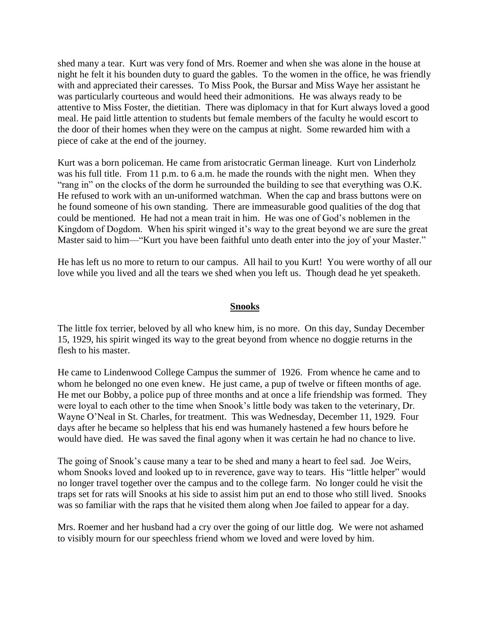shed many a tear. Kurt was very fond of Mrs. Roemer and when she was alone in the house at night he felt it his bounden duty to guard the gables. To the women in the office, he was friendly with and appreciated their caresses. To Miss Pook, the Bursar and Miss Waye her assistant he was particularly courteous and would heed their admonitions. He was always ready to be attentive to Miss Foster, the dietitian. There was diplomacy in that for Kurt always loved a good meal. He paid little attention to students but female members of the faculty he would escort to the door of their homes when they were on the campus at night. Some rewarded him with a piece of cake at the end of the journey.

Kurt was a born policeman. He came from aristocratic German lineage. Kurt von Linderholz was his full title. From 11 p.m. to 6 a.m. he made the rounds with the night men. When they "rang in" on the clocks of the dorm he surrounded the building to see that everything was O.K. He refused to work with an un-uniformed watchman. When the cap and brass buttons were on he found someone of his own standing. There are immeasurable good qualities of the dog that could be mentioned. He had not a mean trait in him. He was one of God's noblemen in the Kingdom of Dogdom. When his spirit winged it's way to the great beyond we are sure the great Master said to him—"Kurt you have been faithful unto death enter into the joy of your Master."

He has left us no more to return to our campus. All hail to you Kurt! You were worthy of all our love while you lived and all the tears we shed when you left us. Though dead he yet speaketh.

#### **Snooks**

The little fox terrier, beloved by all who knew him, is no more. On this day, Sunday December 15, 1929, his spirit winged its way to the great beyond from whence no doggie returns in the flesh to his master.

He came to Lindenwood College Campus the summer of 1926. From whence he came and to whom he belonged no one even knew. He just came, a pup of twelve or fifteen months of age. He met our Bobby, a police pup of three months and at once a life friendship was formed. They were loyal to each other to the time when Snook's little body was taken to the veterinary, Dr. Wayne O'Neal in St. Charles, for treatment. This was Wednesday, December 11, 1929. Four days after he became so helpless that his end was humanely hastened a few hours before he would have died. He was saved the final agony when it was certain he had no chance to live.

The going of Snook's cause many a tear to be shed and many a heart to feel sad. Joe Weirs, whom Snooks loved and looked up to in reverence, gave way to tears. His "little helper" would no longer travel together over the campus and to the college farm. No longer could he visit the traps set for rats will Snooks at his side to assist him put an end to those who still lived. Snooks was so familiar with the raps that he visited them along when Joe failed to appear for a day.

Mrs. Roemer and her husband had a cry over the going of our little dog. We were not ashamed to visibly mourn for our speechless friend whom we loved and were loved by him.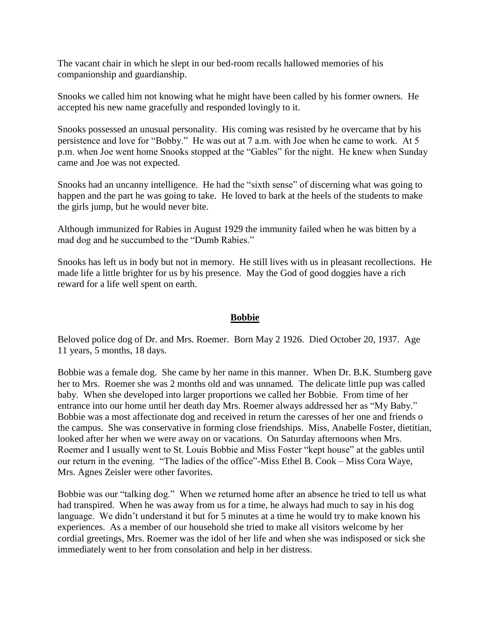The vacant chair in which he slept in our bed-room recalls hallowed memories of his companionship and guardianship.

Snooks we called him not knowing what he might have been called by his former owners. He accepted his new name gracefully and responded lovingly to it.

Snooks possessed an unusual personality. His coming was resisted by he overcame that by his persistence and love for "Bobby." He was out at 7 a.m. with Joe when he came to work. At 5 p.m. when Joe went home Snooks stopped at the "Gables" for the night. He knew when Sunday came and Joe was not expected.

Snooks had an uncanny intelligence. He had the "sixth sense" of discerning what was going to happen and the part he was going to take. He loved to bark at the heels of the students to make the girls jump, but he would never bite.

Although immunized for Rabies in August 1929 the immunity failed when he was bitten by a mad dog and he succumbed to the "Dumb Rabies."

Snooks has left us in body but not in memory. He still lives with us in pleasant recollections. He made life a little brighter for us by his presence. May the God of good doggies have a rich reward for a life well spent on earth.

### **Bobbie**

Beloved police dog of Dr. and Mrs. Roemer. Born May 2 1926. Died October 20, 1937. Age 11 years, 5 months, 18 days.

Bobbie was a female dog. She came by her name in this manner. When Dr. B.K. Stumberg gave her to Mrs. Roemer she was 2 months old and was unnamed. The delicate little pup was called baby. When she developed into larger proportions we called her Bobbie. From time of her entrance into our home until her death day Mrs. Roemer always addressed her as "My Baby." Bobbie was a most affectionate dog and received in return the caresses of her one and friends o the campus. She was conservative in forming close friendships. Miss, Anabelle Foster, dietitian, looked after her when we were away on or vacations. On Saturday afternoons when Mrs. Roemer and I usually went to St. Louis Bobbie and Miss Foster "kept house" at the gables until our return in the evening. "The ladies of the office"-Miss Ethel B. Cook – Miss Cora Waye, Mrs. Agnes Zeisler were other favorites.

Bobbie was our "talking dog." When we returned home after an absence he tried to tell us what had transpired. When he was away from us for a time, he always had much to say in his dog language. We didn't understand it but for 5 minutes at a time he would try to make known his experiences. As a member of our household she tried to make all visitors welcome by her cordial greetings, Mrs. Roemer was the idol of her life and when she was indisposed or sick she immediately went to her from consolation and help in her distress.